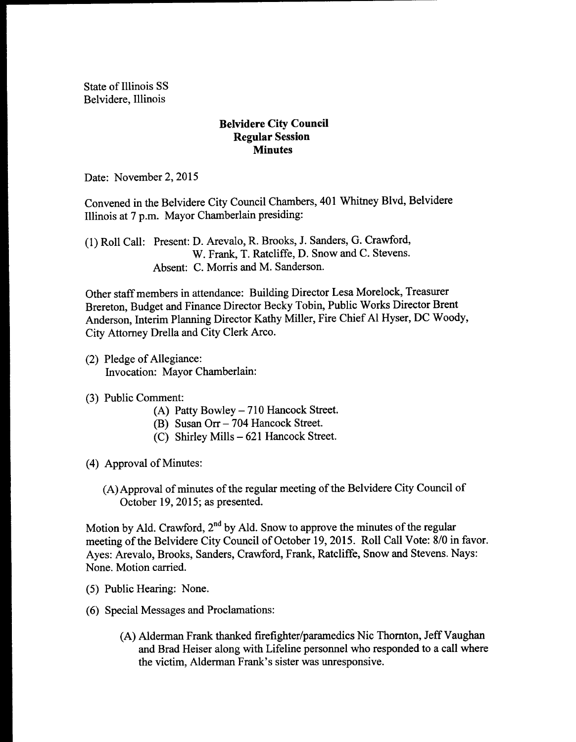State of Illinois SS Belvidere, Illinois

## Belvidere City Council Regular Session Minutes

Date: November 2, 2015

Convened in the Belvidere City Council Chambers, 401 Whitney Blvd, Belvidere Illinois at 7 p.m. Mayor Chamberlain presiding:

1) Roll Call: Present: D. Arevalo, R. Brooks, J. Sanders, G. Crawford, W. Frank, T. Ratcliffe, D. Snow and C. Stevens. Absent: C. Morris and M. Sanderson.

Other staff members in attendance: Building Director Lesa Morelock, Treasurer Brereton, Budget and Finance Director Becky Tobin, Public Works Director Brent Anderson, Interim Planning Director Kathy Miller, Fire Chief Al Hyser, DC Woody, City Attorney Drella and City Clerk Arco.

2) Pledge of Allegiance: Invocation: Mayor Chamberlain:

## 3) Public Comment:

- A) Patty Bowley—710 Hancock Street.
- B) Susan Orr—704 Hancock Street.
- C) Shirley Mills—<sup>621</sup> Hancock Street.
- 4) Approval of Minutes:
	- (A) Approval of minutes of the regular meeting of the Belvidere City Council of October 19, 2015; as presented.

Motion by Ald. Crawford, 2<sup>nd</sup> by Ald. Snow to approve the minutes of the regular meeting of the Belvidere City Council of October 19, 2015. Roll Call Vote: 8/0 in favor. Ayes: Arevalo, Brooks, Sanders, Crawford, Frank, Ratcliffe, Snow and Stevens. Nays: None. Motion carried.

- 5) Public Hearing: None.
- 6) Special Messages and Proclamations:
	- A) Alderman Frank thanked firefighter/paramedics Nic Thornton, Jeff Vaughan and Brad Heiser along with Lifeline personnel who responded to a call where the victim, Alderman Frank's sister was unresponsive.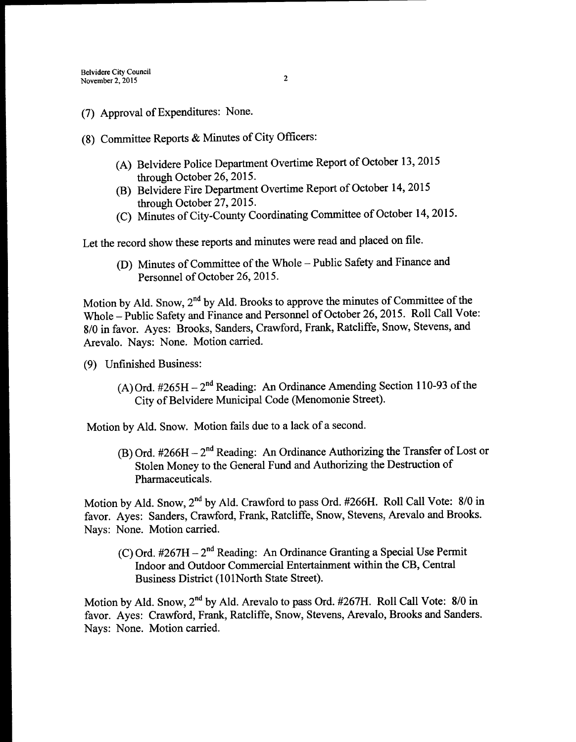- 7) Approval of Expenditures: None.
- 8) Committee Reports & Minutes of City Officers:
	- A) Belvidere Police Department Overtime Report of October 13, 2015 through October 26, 2015.
	- B) Belvidere Fire Department Overtime Report of October 14, 2015 through October 27, 2015.
	- C) Minutes of City-County Coordinating Committee of October 14, 2015.

Let the record show these reports and minutes were read and placed on file.

(D) Minutes of Committee of the Whole – Public Safety and Finance and Personnel of October 26, 2015.

Motion by Ald. Snow,  $2<sup>nd</sup>$  by Ald. Brooks to approve the minutes of Committee of the Whole—Public Safety and Finance and Personnel of October 26, 2015. Roll Call Vote: 8/0 in favor. Ayes: Brooks, Sanders, Crawford, Frank, Ratcliffe, Snow, Stevens, and Arevalo. Nays: None. Motion carried.

- 9) Unfinished Business:
	- (A) Ord.  $\#265H 2^{nd}$  Reading: An Ordinance Amending Section 110-93 of the City of Belvidere Municipal Code (Menomonie Street).

Motion by Ald. Snow. Motion fails due to <sup>a</sup> lack of <sup>a</sup> second.

(B) Ord.  $\#266H - 2^{nd}$  Reading: An Ordinance Authorizing the Transfer of Lost or Stolen Money to the General Fund and Authorizing the Destruction of Pharmaceuticals.

Motion by Ald. Snow, 2<sup>nd</sup> by Ald. Crawford to pass Ord. #266H. Roll Call Vote: 8/0 in favor. Ayes: Sanders, Crawford, Frank, Ratcliffe, Snow, Stevens, Arevalo and Brooks. Nays: None. Motion carried.

(C) Ord.  $#267H - 2^{nd}$  Reading: An Ordinance Granting a Special Use Permit Indoor and Outdoor Commercial Entertainment within the CB, Central Business District (101North State Street).

Motion by Ald. Snow,  $2^{nd}$  by Ald. Arevalo to pass Ord. #267H. Roll Call Vote: 8/0 in favor. Ayes: Crawford, Frank, Ratcliffe, Snow, Stevens, Arevalo, Brooks and Sanders. Nays: None. Motion carried.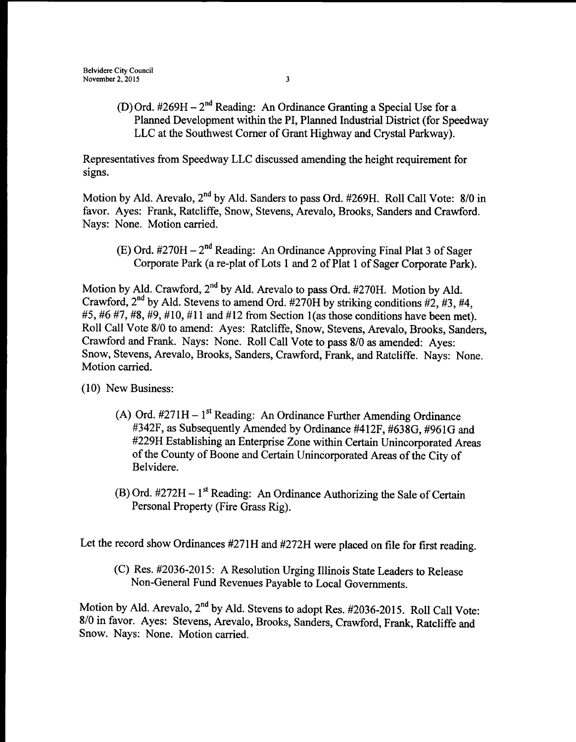D) Ord. #269H - 2<sup>nd</sup> Reading: An Ordinance Granting a Special Use for a Planned Development within the PI, Planned Industrial District( for Speedway LLC at the Southwest Corner of Grant Highway and Crystal Parkway).

Representatives from Speedway LLC discussed amending the height requirement for signs.

Motion by Ald. Arevalo,  $2<sup>nd</sup>$  by Ald. Sanders to pass Ord. #269H. Roll Call Vote: 8/0 in favor. Ayes: Frank, Ratcliffe, Snow, Stevens, Arevalo, Brooks, Sanders and Crawford. Nays: None. Motion carried.

E) Ord. #270H - 2<sup>nd</sup> Reading: An Ordinance Approving Final Plat 3 of Sager Corporate Park (a re-plat of Lots 1 and 2 of Plat 1 of Sager Corporate Park).

Motion by Ald. Crawford,  $2^{nd}$  by Ald. Arevalo to pass Ord. #270H. Motion by Ald. Crawford,  $2^{nd}$  by Ald. Stevens to amend Ord. #270H by striking conditions #2, #3, #4, #5, #6 #7, #8, #9, #10, #11 and #12 from Section 1(as those conditions have been met). Roll Call Vote 8/0 to amend: Ayes: Ratcliffe, Snow, Stevens, Arevalo, Brooks, Sanders, Crawford and Frank. Nays: None. Roll Call Vote to pass 8/0 as amended: Ayes: Snow, Stevens, Arevalo, Brooks, Sanders, Crawford, Frank, and Ratcliffe. Nays: None. Motion carried.

10) New Business:

- A) Ord.  $#271H 1$ <sup>st</sup> Reading: An Ordinance Further Amending Ordinance #342F, as Subsequently Amended by Ordinance #412F, #638G, #961G and 229H Establishing an Enterprise Zone within Certain Unincorporated Areas of the County of Boone and Certain Unincorporated Areas of the City of Belvidere.
- B) Ord.  $#272H 1$ <sup>st</sup> Reading: An Ordinance Authorizing the Sale of Certain Personal Property (Fire Grass Rig).

Let the record show Ordinances #271H and #272H were placed on file for first reading.

(C) Res. #2036-2015: A Resolution Urging Illinois State Leaders to Release Non-General Fund Revenues Payable to Local Governments.

Motion by Ald. Arevalo, 2<sup>nd</sup> by Ald. Stevens to adopt Res. #2036-2015. Roll Call Vote: 8/0 in favor. Ayes: Stevens, Arevalo, Brooks, Sanders, Crawford, Frank, Ratcliffe and Snow. Nays: None. Motion carried.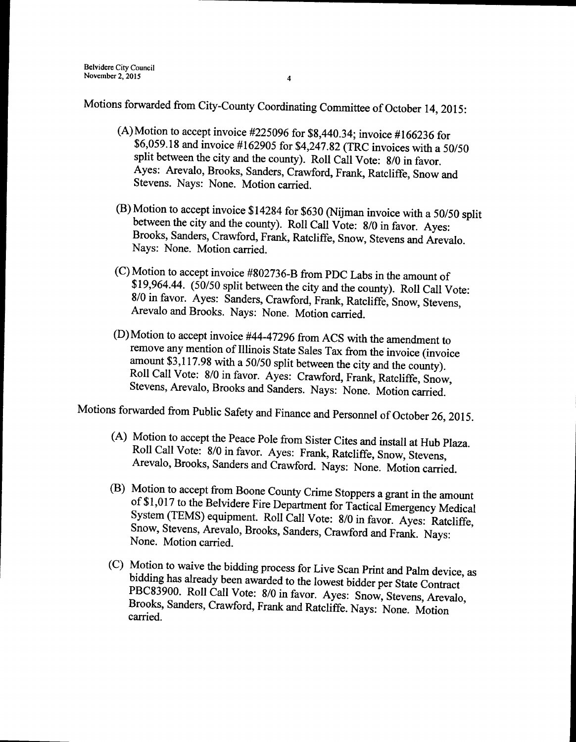Motions forwarded from City-County Coordinating Committee of October 14, 2015:

- (A)Motion to accept invoice  $\#225096$  for \$8,440.34; invoice  $\#166236$  for \$6,059.18 and invoice #162905 for \$4,247.82 (TRC invoices with a 50/50 split between the city and the county). Roll Call Vote: 8/0 in favor. Ayes: Arevalo, Brooks, Sanders, Crawford, Frank, Ratcliffe, Snow and Stevens. Nays: None. Motion carried.
- (B) Motion to accept invoice \$14284 for \$630 (Nijman invoice with a 50/50 split between the city and the county). Roll Call Vote: 8/0 in favor. Ayes: Brooks, Sanders, Crawford, Frank, Ratcliffe, Snow, Stevens and Arevalo. Nays: None. Motion carried.
- C) Motion to accept invoice #802736-B from PDC Labs in the amount of \$19,964.44. (50/50 split between the city and the county). Roll Call Vote: 8/0 in favor. Ayes: Sanders, Crawford, Frank, Ratcliffe, Snow, Stevens, Arevalo and Brooks. Nays: None. Motion carried.
- (D) Motion to accept invoice #44-47296 from ACS with the amendment to remove any mention of Illinois State Sales Tax from the invoice (invoice amount \$3,117.98 with a 50/50 split between the city and the county). Roll Call Vote: 8/0 in favor. Ayes: Crawford, Frank, Ratcliffe, Snow, Stevens, Arevalo, Brooks and Sanders. Nays: None. Motion carried.

Motions forwarded from Public Safety and Finance and Personnel of October 26, 2015.

- A) Motion to accept the Peace Pole from Sister Cites and install at Hub Plaza. Roll Call Vote: 8/0 in favor. Ayes: Frank, Ratcliffe, Snow, Stevens, Arevalo, Brooks, Sanders and Crawford. Nays: None. Motion carried.
- (B) Motion to accept from Boone County Crime Stoppers a grant in the amount of \$1,017 to the Belvidere Fire Department for Tactical Emergency Medical System (TEMS) equipment. Roll Call Vote: 8/0 in favor. Ayes: Ratcliffe, Snow, Stevens, Arevalo, Brooks, Sanders, Crawford and Frank. Nays: None. Motion carried.
- C) Motion to waive the bidding process for Live Scan Print and Palm device, as bidding has already been awarded to the lowest bidder per State Contract PBC83900. Roll Call Vote: 8/0 in favor. Ayes: Snow, Stevens, Arevalo, Brooks, Sanders, Crawford, Frank and Ratcliffe. Nays: None. Motion carried.